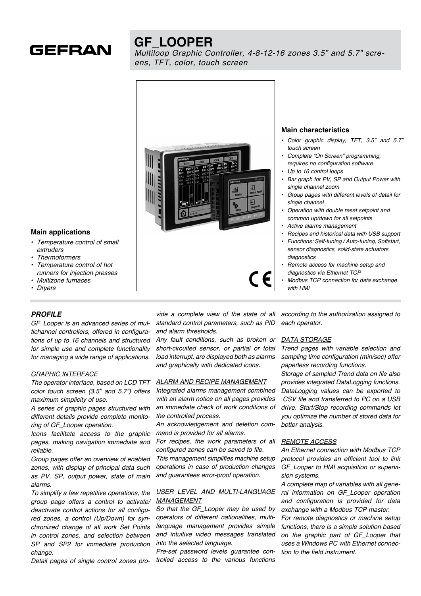

# **GF\_LOOPER**

*Multiloop Graphic Controller, 4-8-12-16 zones 3.5" and 5.7" screens, TFT, color, touch screen*



### **Main characteristics**

- Color graphic display, TFT, 3.5" and 5.7" *touch screen*
- Complete "On Screen" programming, requires no configuration software
- Up to 16 control loops
- Bar graph for PV, SP and Output Power with single channel zoom
- Group pages with different levels of detail for single channel
- Operation with double reset setpoint and common up/down for all setpoints
- Active alarms management
- Recipes and historical data with USB support
- Functions: Self-tuning / Auto-tuning, Softstart, sensor diagnostics, solid-state actuators diagnostics
- Remote access for machine setup and diagnostics via Ethernet TCP
- Modbus TCP connection for data exchange with **HMI**

#### **Main applications**

- Temperature control of small *extruders*
- **Thermoformers**
- Temperature control of hot runners for injection presses
- • Multizone furnaces
- • Dryers

#### *PROFILE*

GF\_Looper is an advanced series of multichannel controllers, offered in configurations of up to 16 channels and structured for simple use and complete functionality for managing a wide range of applications.

#### GRAPHIC INTERFACE

The operator interface, based on LCD TFT color touch screen (3.5" and 5.7") offers maximum simplicity of use.

A series of graphic pages structured with different details provide complete monitoring of GF\_Looper operation.

Icons facilitate access to the graphic pages, making navigation immediate and reliable.

Group pages offer an overview of enabled zones, with display of principal data such as PV, SP, output power, state of main alarms.

To simplify a few repetitive operations, the group page offers a control to activate/ deactivate control actions for all configured zones, a control (Up/Down) for synchronized change of all work Set Points in control zones, and selection between SP and SP2 for immediate production change.

Detail pages of single control zones pro*-*

vide a complete view of the state of all standard control parameters, such as PID and alarm thresholds.

Any fault conditions, such as broken or *short-circuited sensor, or partial or total*  load interrupt, are displayed both as alarms and graphically with dedicated icons.

#### ALARM AND RECIPE MANAGEMENT

Integrated alarms management combined with an alarm notice on all pages provides an immediate check of work conditions of *the controlled process.*

An acknowledgement and deletion command is provided for all alarms.

For recipes, the work parameters of all configured zones can be saved to file.

This management simplifies machine setup operations in case of production changes and guarantees error-proof operation.

### USER LEVEL AND MULTI-LANGUAGE MANAGEMENT

So that the GF\_Looper may be used by operators of different nationalities, multilanguage management provides simple and intuitive video messages translated into the selected language.

Pre-set password levels guarantee controlled access to the various functions

according to the authorization assigned to *each operator.*

### DATA STORAGE

Trend pages with variable selection and sampling time configuration (min/sec) offer paperless recording functions.

Storage of sampled Trend data on file also provides integrated DataLogging functions. DataLogging values can be exported to .CSV file and transferred to PC on a USB drive. Start/Stop recording commands let you optimize the number of stored data for better analysis.

#### REMOTE ACCESS

An Ethernet connection with Modbus TCP protocol provides an efficient tool to link GF\_Looper to HMI acquisition or supervision systems.

A complete map of variables with all general information on GF Looper operation and configuration is provided for data exchange with a Modbus TCP master. For remote diagnostics or machine setup functions, there is a simple solution based on the graphic part of GF\_Looper that uses a Windows PC with Ethernet connection to the field instrument.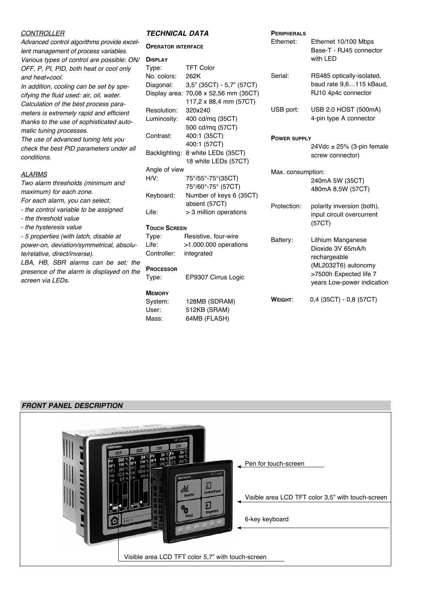### **CONTROLLER**

Advanced control algorithms provide excellent management of process variables. Various types of control are possible: ON/ OFF, P, PI, PID, both heat or cool only *and heat+cool.*

In addition, cooling can be set by specifying the fluid used: air, oil, water. Calculation of the best process parameters is extremely rapid and efficient thanks to the use of sophisticated automatic tuning processes.

The use of advanced tuning lets you check the best PID parameters under all *conditions.*

### **ALARMS**

Two alarm thresholds (minimum and maximum) for each zone.

For each alarm, you can select:

- the control variable to be assigned
- the threshold value
- the hysteresis value

- 5 properties (with latch, disable at power-on, deviation/symmetrical, absolute/relative, direct/inverse).

LBA, HB, SBR alarms can be set; the presence of the alarm is displayed on the screen via LEDs*.*

### *TECHNICAL DATA*

#### **Operator interface**

| <b>DISPLAY</b> |                                       |
|----------------|---------------------------------------|
| Type:          | <b>TFT Color</b>                      |
| No. colors:    | 262K                                  |
| Diagonal:      | $3.5$ " (35CT) - 5.7" (57CT)          |
|                | Display area: 70,08 x 52,56 mm (35CT) |
|                | 117,2 x 88,4 mm (57CT)                |
| Resolution:    | 320x240                               |
| Luminosity:    | 400 cd/mg (35CT)                      |
|                | 500 cd/mq (57CT)                      |
| Contrast:      | 400:1 (35CT)                          |
|                | 400:1 (57CT)                          |
| Backlighting:  | 8 white LEDs (35CT)                   |
|                | 18 white LEDs (57CT)                  |
| Angle of view  |                                       |
| H/V:           | 75°/55°-75°(35CT)                     |
|                | 75°/60°-75° (57CT)                    |
| Keyboard:      | Number of keys 6 (35CT)               |
|                | absent (57CT)                         |
| Life:          | > 3 million operations                |

### **Touch Screen**

| Type:       | Resistive, four-wire    |
|-------------|-------------------------|
| Life:       | $>1.000.000$ operations |
| Controller: | integrated              |

### **Processor**

Type: EP9307 Cirrus Logic

### **Memory**

| System: | 128MB (SDRAM) |
|---------|---------------|
| User:   | 512KB (SRAM)  |
| Mass:   | 64MB (FLASH)  |

| PERIPHERALS<br>Ethernet: | Ethernet 10/100 Mbps<br>Base-T - RJ45 connector<br>with LED                                                                           |
|--------------------------|---------------------------------------------------------------------------------------------------------------------------------------|
| Serial:                  | RS485 optically-isolated,<br>baud rate 9,6115 kBaud,<br>RJ10 4p4c connector                                                           |
| USB port:                | USB 2.0 HOST (500mA)<br>4-pin type A connector                                                                                        |
| <b>POWER SUPPLY</b>      | 24Vdc $\pm$ 25% (3-pin female<br>screw connector)                                                                                     |
| Max. consumption:        | 240mA 5W (35CT)<br>480mA 8,5W (57CT)                                                                                                  |
| Protection:              | polarity inversion (both),<br>input circuit overcurrent<br>(57CT)                                                                     |
| Battery:                 | Lithium Manganese<br>Dioxide 3V 65mA/h<br>rechargeable<br>(ML2032T6) autonomy<br>>7500h Expected life 7<br>years Low-power indication |
| WEIGHT:                  | 0,4 (35CT) - 0,8 (57CT)                                                                                                               |

### *FRONT PANEL DESCRIPTION*

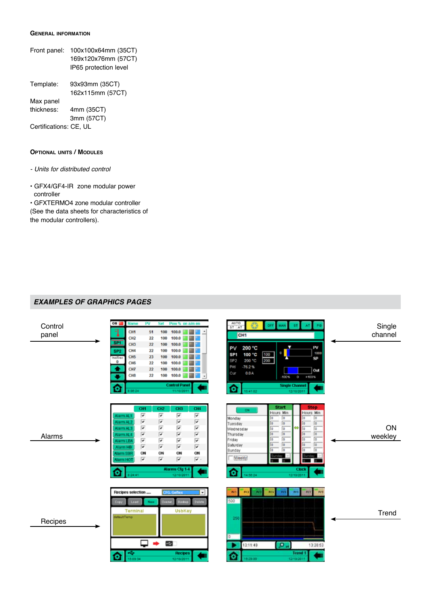#### **General information**

| Front panel:           | 100x100x64mm (35CT)   |
|------------------------|-----------------------|
|                        | 169x120x76mm (57CT)   |
|                        | IP65 protection level |
| Template:              | 93x93mm (35CT)        |
|                        | 162x115mm (57CT)      |
| Max panel              |                       |
| thickness:             | 4mm (35CT)            |
|                        | 3mm (57CT)            |
| Certifications: CE, UL |                       |

#### **Optional units / Modules**

- Units for distributed control
- GFX4/GF4-IR zone modular power controller

• GFXTERMO4 zone modular controller (See the data sheets for characteristics of the modular controllers).

### *EXAMPLES OF GRAPHICS PAGES*

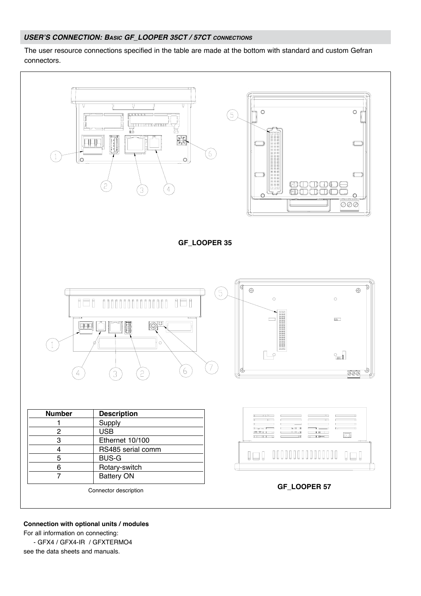### *USER'S CONNECTION: Basic GF\_LOOPER 35CT / 57CT connections*

The user resource connections specified in the table are made at the bottom with standard and custom Gefran connectors.



**Connection with optional units / modules** For all information on connecting: - GFX4 / GFX4-IR / GFXTERMO4

see the data sheets and manuals.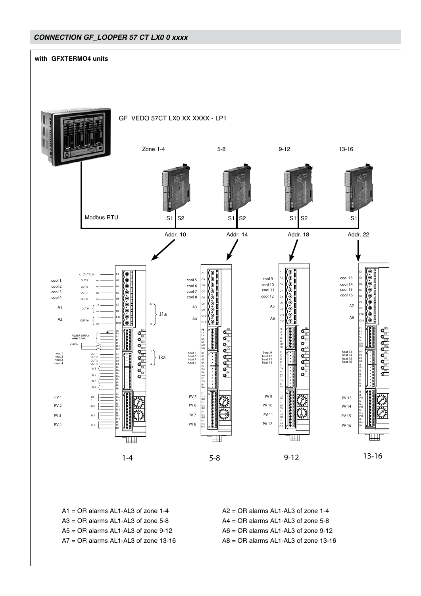# *CONNECTION GF\_LOOPER 57 CT LX0 0 xxxx*



 $A1 = OR$  alarms AL1-AL3 of zone 1-4  $A2 = OR$  alarms AL1-AL3 of zone 1-4  $A3 = OR$  alarms AL1-AL3 of zone 5-8  $A4 = OR$  alarms AL1-AL3 of zone 5-8  $A5 = OR$  alarms AL1-AL3 of zone 9-12  $A6 = OR$  alarms AL1-AL3 of zone 9-12  $A7 = OR$  alarms AL1-AL3 of zone 13-16  $A8 = OR$  alarms AL1-AL3 of zone 13-16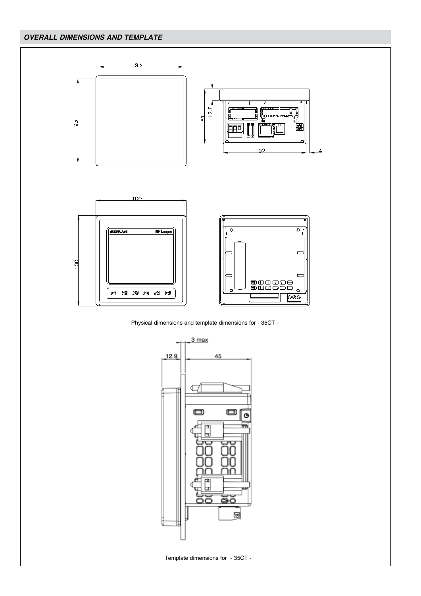# *OVERALL DIMENSIONS AND TEMPLATE*



Physical dimensions and template dimensions for - 35CT -

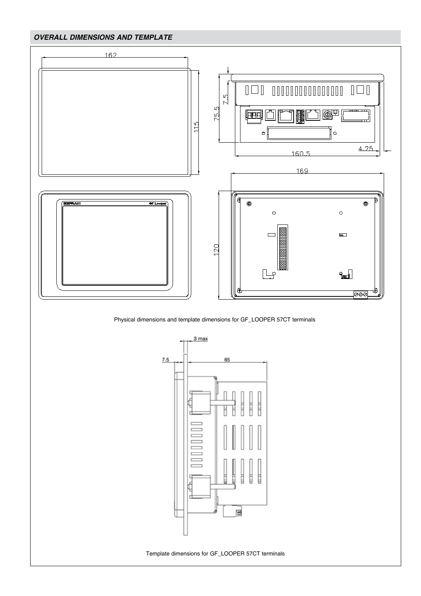# *OVERALL DIMENSIONS AND TEMPLATE*